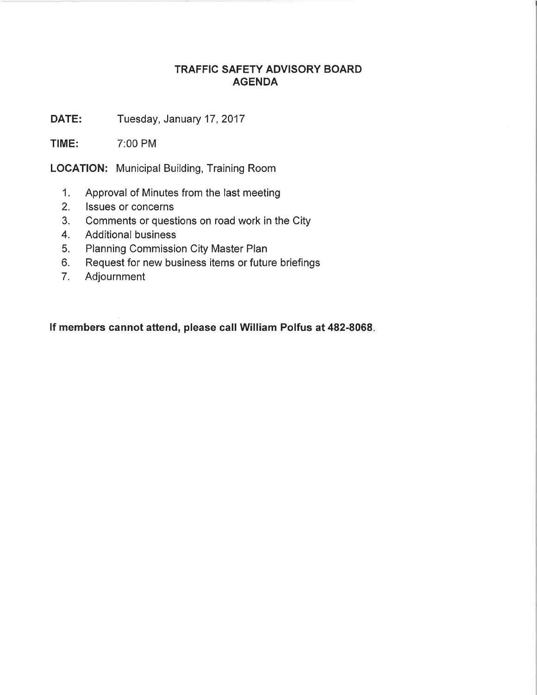## TRAFFIC SAFETY ADVISORY BOARD AGENDA

DATE: Tuesday, January 17, 2017

TIME: 7:00 PM

LOCATION: Municipal Building, Training Room

- 1. Approval of Minutes from the last meeting
- 2. lssues or concerns
- 3. Comments or questions on road work in the City
- 4. Additional business
- 5. Planning Commission City Master Plan
- 6. Request for new business items or future briefings
- 7. Adjournment

lf members cannot attend, please call William Polfus at 482-8068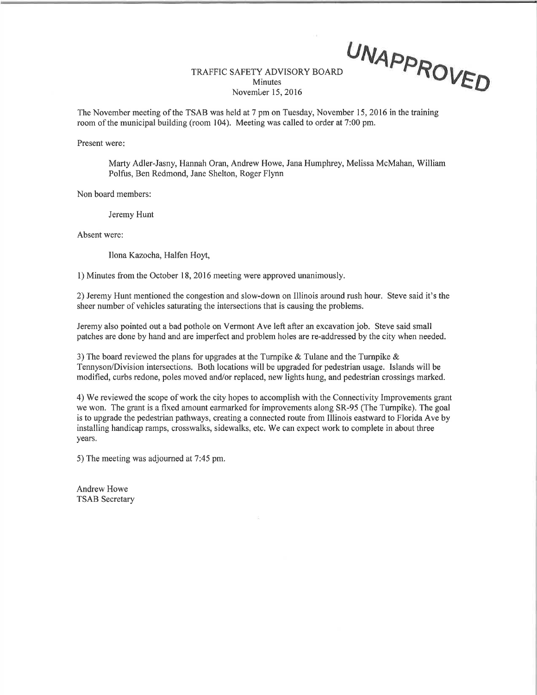## TRAFFIC SAFETY ADVISORY BOARD **Minutes** November 15,2016 UNAPPROVED

The November meeting of the TSAB was held at 7 pm on Tuesday, November 15, 2016 in the training room of the municipal building (room 104). Meeting was called to order at 7:00 pm.

Present were

Marty Adler-Jasny, Hannah Oran, Andrew Howe, Jana Humphrey, Melissa McMahan, William Polfus, Ben Redmond, Jane Shelton, Roger Flynn

Non board members:

Jeremy Hunt

Absent were:

Ilona Kazocha, Halfen Hoyt,

l) Minutes from the October 18,2016 meeting were approved unanimously.

2) Jeremy Hunt mentioned the congestion and slow-down on Illinois around rush hour. Steve said it's the sheer number of vehicles saturating the intersections that is causing the problems.

Jeremy also pointed out a bad pothole on Vermont Ave left after an excavation job. Steve said small patches are done by hand and are imperfect and problem holes are re-addressed by the city when needed.

3) The board reviewed the plans for upgrades at the Turnpike  $\&$  Tulane and the Turnpike  $\&$ Tennyson/Division intersections. Both locations will be upgraded for pedestrian usage. Islands will be modified, curbs redone, poles moved and/or replaced, new lights hung, and pedestrian crossings marked.

4) We reviewed the scope of work the city hopes to accomplish with the Connectivity Improvements grant we won. The grant is a fixed amount earmarked for improvements along SR-95 (The Turnpike). The goal is to upgrade the pedestrian pathways, creating a connected route from Illinois eastward to Florida Ave by installing handicap ramps, crosswalks, sidewalks, etc. We can expect work to complete in about three years.

5) The meeting was adjourned at 7:45 pm.

Andrew Howe TSAB Secretary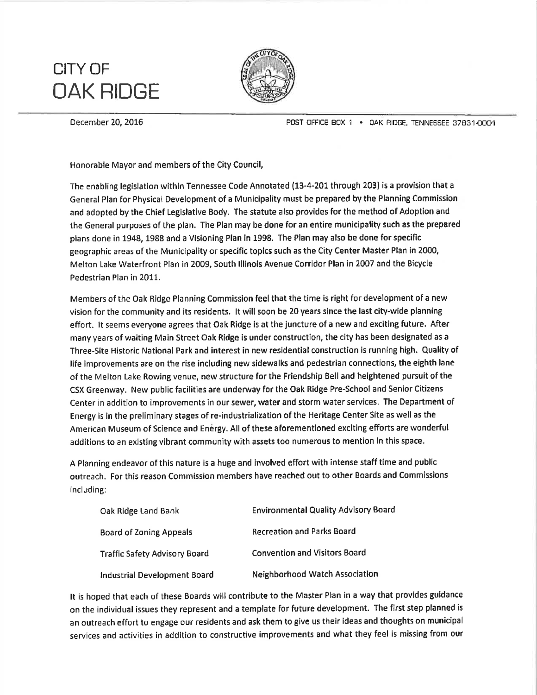## CITY OF OAK RIDGE



December 20, 2016 POST OFFICE BOX 1 . OAK RIDGE, TENNESSEE 37831-0001

Honorable Mayor and members of the City Council,

The enabling legislation within Tennessee Code Annotated (13-4-201 through 203) is a provision that a General Plan for Physical Development of a Municipality must be prepared by the Planning Commission and adopted by the Chief Legislative Body. The statute also provides for the method of Adoption and the General purposes of the plan. The Plan may be done for an entire municipality such as the prepared plans done in 1948, 1988 and a Visioning Plan in 1998. The Plan may also be done for specific geographic areas of the Municipality or specific topics such as the City Center Master Plan in 2000, Melton Lake Waterfront Plan in 2009, South lllinois Avenue Corridor Plan in 2007 and the Bicycle Pedestrian Plan in 2011.

Members of the Oak Ridge Planning Commission feel that the time is right for development of a new vision for the community and its residents. lt will soon be 20 years since the last city-wide planning effort. lt seems everyone agrees that Oak Ridge is at the juncture of a new and exciting future. After many years of waiting Main Street Oak Ridge is under construction, the city has been designated as a Three-Site Historic Natlonal Park and interest in new residential construction is running high. Quality of life improvements are on the rise including new sidewalks and pedestrian connectíons, the eighth lane of the Melton Lake Rowíng venue, new structure for the Friendship Bell and heightened pursuit of the CSX Greenway. New public facilities are underway for the Oak Ridge Pre-School and Senior Citizens Center in addition to improvements in our sewer, water and storm water services. The Department of Energy is in the preliminary stages of re-industrialization of the Heritage Center Site as well as the American Museum of Science and Enêrgy. All of these aforementioned exciting efforts are wonderful addítions to an existíng vibrant community with assets too numerous to mention in this space.

A Planning endeavor of this nature is a huge and involved effort with intense staff time and public outreach. For thís reason Commission members have reached out to other Eoards and Commissions including:

| Oak Ridge Land Bank                  | <b>Environmental Quality Advisory Board</b> |
|--------------------------------------|---------------------------------------------|
| Board of Zoning Appeals              | <b>Recreation and Parks Board</b>           |
| <b>Traffic Safety Advisory Board</b> | <b>Convention and Visitors Board</b>        |
| Industrial Development Board         | Neighborhood Watch Association              |

It is hoped that each of these Boards will contribute to the Master Plan in a way that provides guidance on the individual issues they represent and a template for future development. The first step planned is an outreach effort to engage our residents and ask them to give us their ideas and thoughts on municipal services and actívities in additíon to constructive improvements and what they feel is missing from our